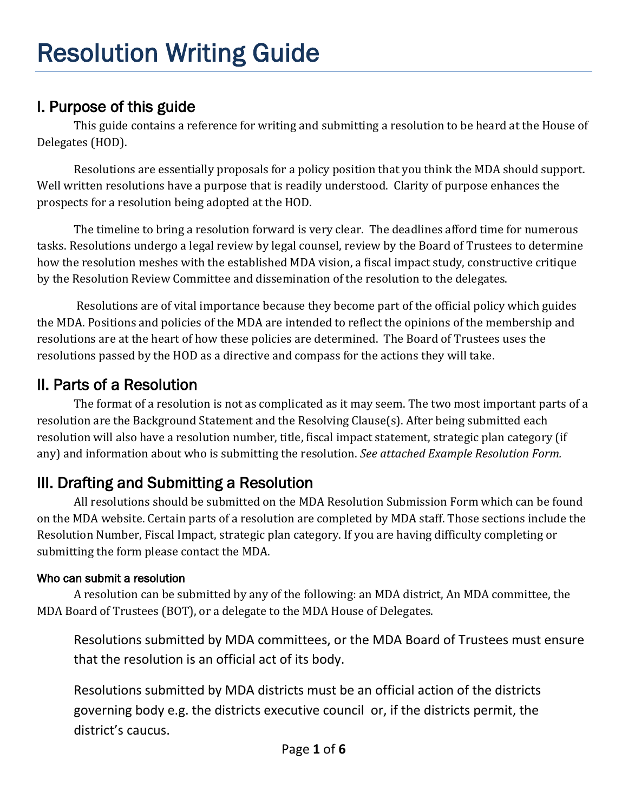# I. Purpose of this guide

This guide contains a reference for writing and submitting a resolution to be heard at the House of Delegates (HOD).

Resolutions are essentially proposals for a policy position that you think the MDA should support. Well written resolutions have a purpose that is readily understood. Clarity of purpose enhances the prospects for a resolution being adopted at the HOD.

The timeline to bring a resolution forward is very clear. The deadlines afford time for numerous tasks. Resolutions undergo a legal review by legal counsel, review by the Board of Trustees to determine how the resolution meshes with the established MDA vision, a fiscal impact study, constructive critique by the Resolution Review Committee and dissemination of the resolution to the delegates.

Resolutions are of vital importance because they become part of the official policy which guides the MDA. Positions and policies of the MDA are intended to reflect the opinions of the membership and resolutions are at the heart of how these policies are determined. The Board of Trustees uses the resolutions passed by the HOD as a directive and compass for the actions they will take.

# II. Parts of a Resolution

The format of a resolution is not as complicated as it may seem. The two most important parts of a resolution are the Background Statement and the Resolving Clause(s). After being submitted each resolution will also have a resolution number, title, fiscal impact statement, strategic plan category (if any) and information about who is submitting the resolution. *See attached Example Resolution Form.*

# III. Drafting and Submitting a Resolution

All resolutions should be submitted on the MDA Resolution Submission Form which can be found on the MDA website. Certain parts of a resolution are completed by MDA staff. Those sections include the Resolution Number, Fiscal Impact, strategic plan category. If you are having difficulty completing or submitting the form please contact the MDA.

## Who can submit a resolution

A resolution can be submitted by any of the following: an MDA district, An MDA committee, the MDA Board of Trustees (BOT), or a delegate to the MDA House of Delegates.

Resolutions submitted by MDA committees, or the MDA Board of Trustees must ensure that the resolution is an official act of its body.

Resolutions submitted by MDA districts must be an official action of the districts governing body e.g. the districts executive council or, if the districts permit, the district's caucus.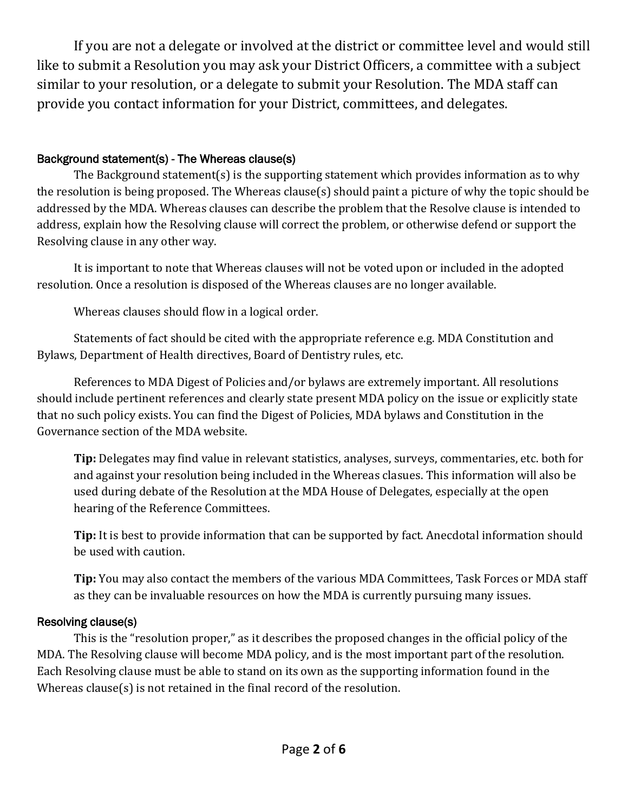If you are not a delegate or involved at the district or committee level and would still like to submit a Resolution you may ask your District Officers, a committee with a subject similar to your resolution, or a delegate to submit your Resolution. The MDA staff can provide you contact information for your District, committees, and delegates.

#### Background statement(s) - The Whereas clause(s)

The Background statement(s) is the supporting statement which provides information as to why the resolution is being proposed. The Whereas clause(s) should paint a picture of why the topic should be addressed by the MDA. Whereas clauses can describe the problem that the Resolve clause is intended to address, explain how the Resolving clause will correct the problem, or otherwise defend or support the Resolving clause in any other way.

It is important to note that Whereas clauses will not be voted upon or included in the adopted resolution. Once a resolution is disposed of the Whereas clauses are no longer available.

Whereas clauses should flow in a logical order.

Statements of fact should be cited with the appropriate reference e.g. MDA Constitution and Bylaws, Department of Health directives, Board of Dentistry rules, etc.

References to MDA Digest of Policies and/or bylaws are extremely important. All resolutions should include pertinent references and clearly state present MDA policy on the issue or explicitly state that no such policy exists. You can find the Digest of Policies, MDA bylaws and Constitution in the Governance section of the MDA website.

**Tip:** Delegates may find value in relevant statistics, analyses, surveys, commentaries, etc. both for and against your resolution being included in the Whereas clasues. This information will also be used during debate of the Resolution at the MDA House of Delegates, especially at the open hearing of the Reference Committees.

**Tip:** It is best to provide information that can be supported by fact. Anecdotal information should be used with caution.

**Tip:** You may also contact the members of the various MDA Committees, Task Forces or MDA staff as they can be invaluable resources on how the MDA is currently pursuing many issues.

#### Resolving clause(s)

This is the "resolution proper," as it describes the proposed changes in the official policy of the MDA. The Resolving clause will become MDA policy, and is the most important part of the resolution. Each Resolving clause must be able to stand on its own as the supporting information found in the Whereas clause(s) is not retained in the final record of the resolution.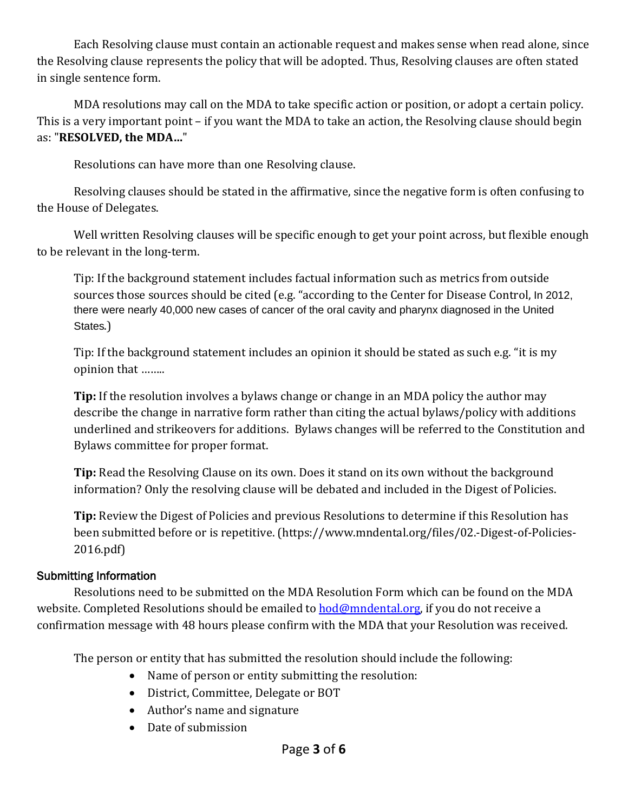Each Resolving clause must contain an actionable request and makes sense when read alone, since the Resolving clause represents the policy that will be adopted. Thus, Resolving clauses are often stated in single sentence form.

MDA resolutions may call on the MDA to take specific action or position, or adopt a certain policy. This is a very important point – if you want the MDA to take an action, the Resolving clause should begin as: "**RESOLVED, the MDA…**"

Resolutions can have more than one Resolving clause.

Resolving clauses should be stated in the affirmative, since the negative form is often confusing to the House of Delegates.

Well written Resolving clauses will be specific enough to get your point across, but flexible enough to be relevant in the long-term.

Tip: If the background statement includes factual information such as metrics from outside sources those sources should be cited (e.g. "according to the Center for Disease Control, In 2012, there were nearly 40,000 new cases of cancer of the oral cavity and pharynx diagnosed in the United States.)

Tip: If the background statement includes an opinion it should be stated as such e.g. "it is my opinion that ……..

**Tip:** If the resolution involves a bylaws change or change in an MDA policy the author may describe the change in narrative form rather than citing the actual bylaws/policy with additions underlined and strikeovers for additions. Bylaws changes will be referred to the Constitution and Bylaws committee for proper format.

**Tip:** Read the Resolving Clause on its own. Does it stand on its own without the background information? Only the resolving clause will be debated and included in the Digest of Policies.

**Tip:** Review the Digest of Policies and previous Resolutions to determine if this Resolution has been submitted before or is repetitive. (https://www.mndental.org/files/02.-Digest-of-Policies-2016.pdf)

### Submitting Information

 Resolutions need to be submitted on the MDA Resolution Form which can be found on the MDA website. Completed Resolutions should be emailed to **hod@mndental.org**, if you do not receive a confirmation message with 48 hours please confirm with the MDA that your Resolution was received.

The person or entity that has submitted the resolution should include the following:

- Name of person or entity submitting the resolution:
- District, Committee, Delegate or BOT
- Author's name and signature
- Date of submission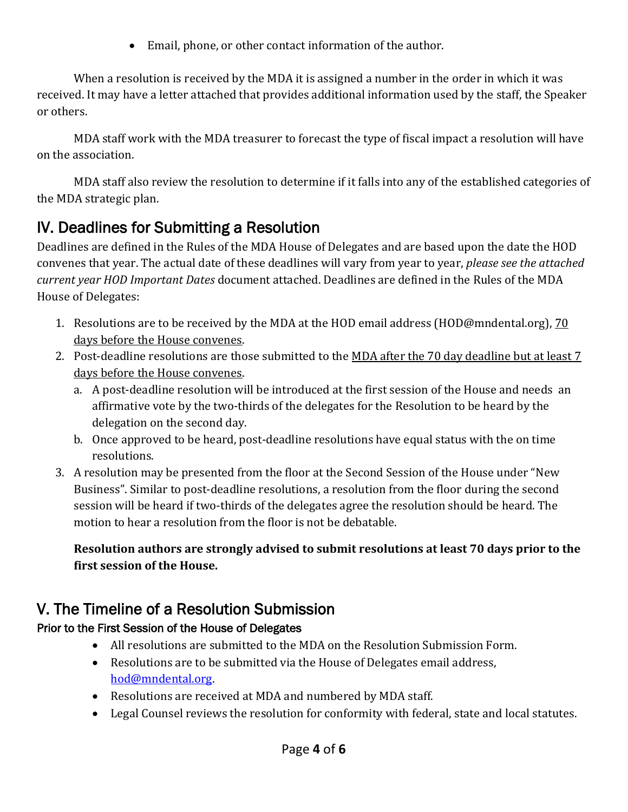• Email, phone, or other contact information of the author.

When a resolution is received by the MDA it is assigned a number in the order in which it was received. It may have a letter attached that provides additional information used by the staff, the Speaker or others.

MDA staff work with the MDA treasurer to forecast the type of fiscal impact a resolution will have on the association.

MDA staff also review the resolution to determine if it falls into any of the established categories of the MDA strategic plan.

# IV. Deadlines for Submitting a Resolution

Deadlines are defined in the Rules of the MDA House of Delegates and are based upon the date the HOD convenes that year. The actual date of these deadlines will vary from year to year, *please see the attached current year HOD Important Dates* document attached. Deadlines are defined in the Rules of the MDA House of Delegates:

- 1. Resolutions are to be received by the MDA at the HOD email address (HOD@mndental.org), 70 days before the House convenes.
- 2. Post-deadline resolutions are those submitted to the MDA after the 70 day deadline but at least 7 days before the House convenes.
	- a. A post-deadline resolution will be introduced at the first session of the House and needs an affirmative vote by the two-thirds of the delegates for the Resolution to be heard by the delegation on the second day.
	- b. Once approved to be heard, post-deadline resolutions have equal status with the on time resolutions.
- 3. A resolution may be presented from the floor at the Second Session of the House under "New Business". Similar to post-deadline resolutions, a resolution from the floor during the second session will be heard if two-thirds of the delegates agree the resolution should be heard. The motion to hear a resolution from the floor is not be debatable.

**Resolution authors are strongly advised to submit resolutions at least 70 days prior to the first session of the House.**

# V. The Timeline of a Resolution Submission

## Prior to the First Session of the House of Delegates

- All resolutions are submitted to the MDA on the Resolution Submission Form.
- Resolutions are to be submitted via the House of Delegates email address, [hod@mndental.org.](mailto:hod@mndental.org)
- Resolutions are received at MDA and numbered by MDA staff.
- Legal Counsel reviews the resolution for conformity with federal, state and local statutes.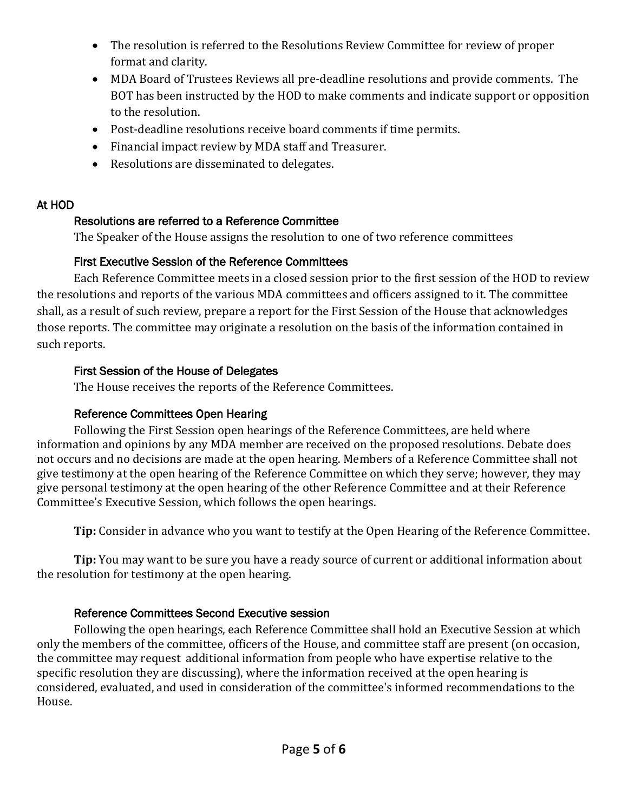- The resolution is referred to the Resolutions Review Committee for review of proper format and clarity.
- MDA Board of Trustees Reviews all pre-deadline resolutions and provide comments. The BOT has been instructed by the HOD to make comments and indicate support or opposition to the resolution.
- Post-deadline resolutions receive board comments if time permits.
- Financial impact review by MDA staff and Treasurer.
- Resolutions are disseminated to delegates.

#### At HOD

#### Resolutions are referred to a Reference Committee

The Speaker of the House assigns the resolution to one of two reference committees

### First Executive Session of the Reference Committees

Each Reference Committee meets in a closed session prior to the first session of the HOD to review the resolutions and reports of the various MDA committees and officers assigned to it. The committee shall, as a result of such review, prepare a report for the First Session of the House that acknowledges those reports. The committee may originate a resolution on the basis of the information contained in such reports.

### First Session of the House of Delegates

The House receives the reports of the Reference Committees.

### Reference Committees Open Hearing

Following the First Session open hearings of the Reference Committees, are held where information and opinions by any MDA member are received on the proposed resolutions. Debate does not occurs and no decisions are made at the open hearing. Members of a Reference Committee shall not give testimony at the open hearing of the Reference Committee on which they serve; however, they may give personal testimony at the open hearing of the other Reference Committee and at their Reference Committee's Executive Session, which follows the open hearings.

**Tip:** Consider in advance who you want to testify at the Open Hearing of the Reference Committee.

**Tip:** You may want to be sure you have a ready source of current or additional information about the resolution for testimony at the open hearing.

### Reference Committees Second Executive session

Following the open hearings, each Reference Committee shall hold an Executive Session at which only the members of the committee, officers of the House, and committee staff are present (on occasion, the committee may request additional information from people who have expertise relative to the specific resolution they are discussing), where the information received at the open hearing is considered, evaluated, and used in consideration of the committee's informed recommendations to the House.